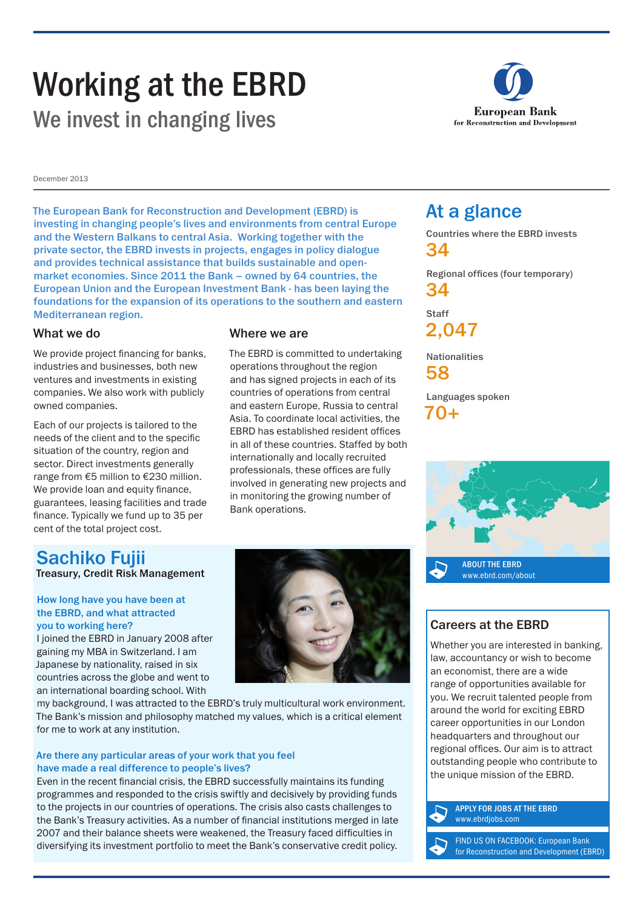# Working at the EBRD We invest in changing lives



December 2013

The European Bank for Reconstruction and Development (EBRD) is investing in changing people's lives and environments from central Europe and the Western Balkans to central Asia. Working together with the private sector, the EBRD invests in projects, engages in policy dialogue and provides technical assistance that builds sustainable and openmarket economies. Since 2011 the Bank – owned by 64 countries, the European Union and the European Investment Bank - has been laying the foundations for the expansion of its operations to the southern and eastern Mediterranean region.

#### What we do

We provide project financing for banks, industries and businesses, both new ventures and investments in existing companies. We also work with publicly owned companies.

Each of our projects is tailored to the needs of the client and to the specific situation of the country, region and sector. Direct investments generally range from €5 million to €230 million. We provide loan and equity finance, guarantees, leasing facilities and trade finance. Typically we fund up to 35 per cent of the total project cost.

Treasury, Credit Risk Management

I joined the EBRD in January 2008 after gaining my MBA in Switzerland. I am Japanese by nationality, raised in six countries across the globe and went to an international boarding school. With

How long have you have been at the EBRD, and what attracted

Sachiko Fujii

you to working here?

#### Where we are

The EBRD is committed to undertaking operations throughout the region and has signed projects in each of its countries of operations from central and eastern Europe, Russia to central Asia. To coordinate local activities, the EBRD has established resident offices in all of these countries. Staffed by both internationally and locally recruited professionals, these offices are fully involved in generating new projects and in monitoring the growing number of Bank operations.

## At a glance

Countries where the EBRD invests  $34$ 

Regional offices (four temporary) 34

**Staff** 2,047

Nationalities 58

Languages spoken

70+



## Careers at the EBRD

Whether you are interested in banking, law, accountancy or wish to become an economist, there are a wide range of opportunities available for you. We recruit talented people from around the world for exciting EBRD career opportunities in our London headquarters and throughout our regional offices. Our aim is to attract outstanding people who contribute to the unique mission of the EBRD.

APPLY FOR JOBS AT THE EBRD www.ebrdjobs.com

for Reconstruction and Development (EBRD)



my background, I was attracted to the EBRD's truly multicultural work environment. The Bank's mission and philosophy matched my values, which is a critical element for me to work at any institution.

#### Are there any particular areas of your work that you feel have made a real difference to people's lives?

Even in the recent financial crisis, the EBRD successfully maintains its funding programmes and responded to the crisis swiftly and decisively by providing funds to the projects in our countries of operations. The crisis also casts challenges to the Bank's Treasury activities. As a number of financial institutions merged in late 2007 and their balance sheets were weakened, the Treasury faced difficulties in diversifying its investment portfolio to meet the Bank's conservative credit policy.<br>The US ON FACEBOOK: European Bank<br>for Peopertuation and Davelopment (ER